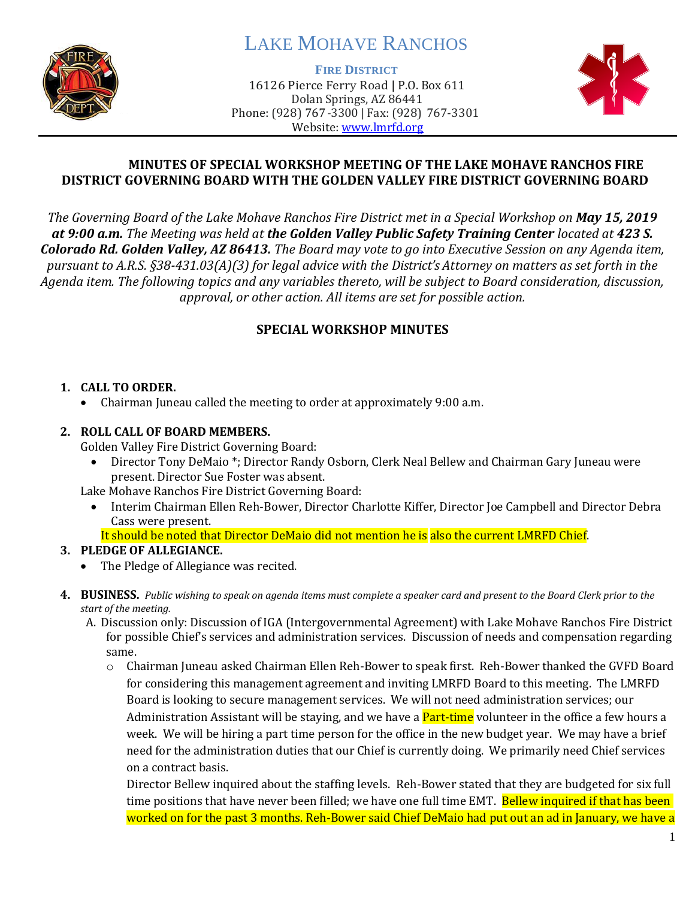

# LAKE MOHAVE RANCHOS

**FIRE DISTRICT**

16126 Pierce Ferry Road | P.O. Box 611 Dolan Springs, AZ 86441 Phone: (928) 767-3300 | Fax: (928) 767-3301 Website: [www.lmrfd.org](http://www.lmrfd.org/)



### **MINUTES OF SPECIAL WORKSHOP MEETING OF THE LAKE MOHAVE RANCHOS FIRE DISTRICT GOVERNING BOARD WITH THE GOLDEN VALLEY FIRE DISTRICT GOVERNING BOARD**

*The Governing Board of the Lake Mohave Ranchos Fire District met in a Special Workshop on May 15, 2019 at 9:00 a.m. The Meeting was held at the Golden Valley Public Safety Training Center located at 423 S. Colorado Rd. Golden Valley, AZ 86413. The Board may vote to go into Executive Session on any Agenda item, pursuant to A.R.S. §38-431.03(A)(3) for legal advice with the District's Attorney on matters as set forth in the Agenda item. The following topics and any variables thereto, will be subject to Board consideration, discussion, approval, or other action. All items are set for possible action.*

## **SPECIAL WORKSHOP MINUTES**

### **1. CALL TO ORDER.**

• Chairman Juneau called the meeting to order at approximately 9:00 a.m.

### **2. ROLL CALL OF BOARD MEMBERS.**

Golden Valley Fire District Governing Board:

• Director Tony DeMaio \*; Director Randy Osborn, Clerk Neal Bellew and Chairman Gary Juneau were present. Director Sue Foster was absent.

Lake Mohave Ranchos Fire District Governing Board:

• Interim Chairman Ellen Reh-Bower, Director Charlotte Kiffer, Director Joe Campbell and Director Debra Cass were present.

It should be noted that Director DeMaio did not mention he is also the current LMRFD Chief.

## **3. PLEDGE OF ALLEGIANCE.**

- The Pledge of Allegiance was recited.
- **4. BUSINESS.** *Public wishing to speak on agenda items must complete a speaker card and present to the Board Clerk prior to the start of the meeting.* 
	- A. Discussion only: Discussion of IGA (Intergovernmental Agreement) with Lake Mohave Ranchos Fire District for possible Chief's services and administration services. Discussion of needs and compensation regarding same.
		- o Chairman Juneau asked Chairman Ellen Reh-Bower to speak first. Reh-Bower thanked the GVFD Board for considering this management agreement and inviting LMRFD Board to this meeting. The LMRFD Board is looking to secure management services. We will not need administration services; our Administration Assistant will be staying, and we have a **Part-time** volunteer in the office a few hours a week. We will be hiring a part time person for the office in the new budget year. We may have a brief need for the administration duties that our Chief is currently doing. We primarily need Chief services on a contract basis.

Director Bellew inquired about the staffing levels. Reh-Bower stated that they are budgeted for six full time positions that have never been filled; we have one full time EMT. Bellew inquired if that has been worked on for the past 3 months. Reh-Bower said Chief DeMaio had put out an ad in January, we have a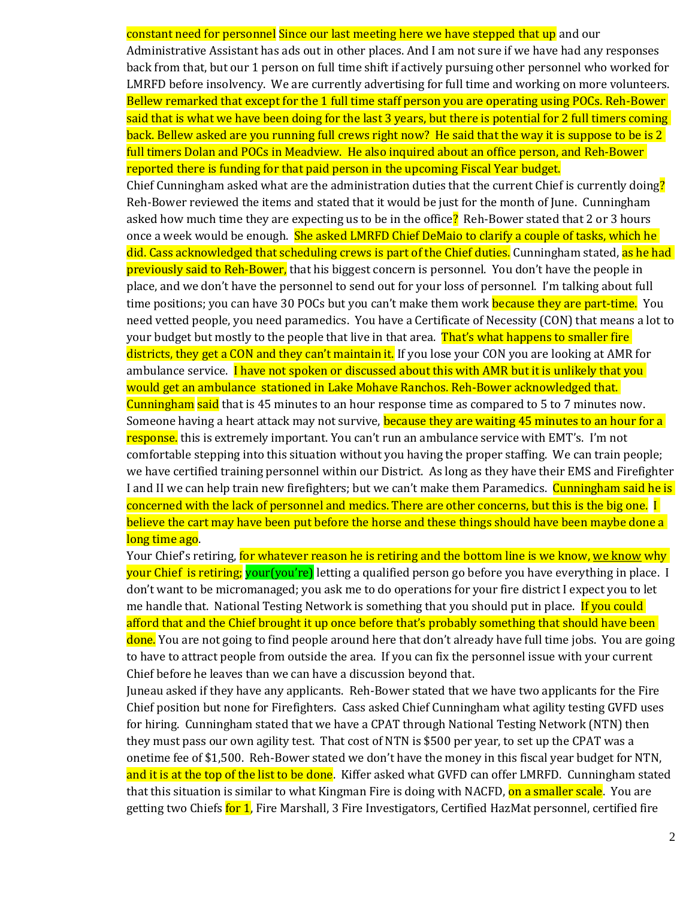constant need for personnel Since our last meeting here we have stepped that up and our Administrative Assistant has ads out in other places. And I am not sure if we have had any responses back from that, but our 1 person on full time shift if actively pursuing other personnel who worked for LMRFD before insolvency. We are currently advertising for full time and working on more volunteers. Bellew remarked that except for the 1 full time staff person you are operating using POCs. Reh-Bower said that is what we have been doing for the last 3 years, but there is potential for 2 full timers coming back. Bellew asked are you running full crews right now? He said that the way it is suppose to be is 2 full timers Dolan and POCs in Meadview. He also inquired about an office person, and Reh-Bower reported there is funding for that paid person in the upcoming Fiscal Year budget.

Chief Cunningham asked what are the administration duties that the current Chief is currently doing? Reh-Bower reviewed the items and stated that it would be just for the month of June. Cunningham asked how much time they are expecting us to be in the office? Reh-Bower stated that 2 or 3 hours once a week would be enough. She asked LMRFD Chief DeMaio to clarify a couple of tasks, which he did. Cass acknowledged that scheduling crews is part of the Chief duties. Cunningham stated, as he had previously said to Reh-Bower, that his biggest concern is personnel. You don't have the people in place, and we don't have the personnel to send out for your loss of personnel. I'm talking about full time positions; you can have 30 POCs but you can't make them work **because they are part-time.** You need vetted people, you need paramedics. You have a Certificate of Necessity (CON) that means a lot to your budget but mostly to the people that live in that area. That's what happens to smaller fire districts, they get a CON and they can't maintain it. If you lose your CON you are looking at AMR for ambulance service. I have not spoken or discussed about this with AMR but it is unlikely that you would get an ambulance stationed in Lake Mohave Ranchos. Reh-Bower acknowledged that. Cunningham said that is 45 minutes to an hour response time as compared to 5 to 7 minutes now. Someone having a heart attack may not survive, because they are waiting 45 minutes to an hour for a response. this is extremely important. You can't run an ambulance service with EMT's. I'm not comfortable stepping into this situation without you having the proper staffing. We can train people; we have certified training personnel within our District. As long as they have their EMS and Firefighter I and II we can help train new firefighters; but we can't make them Paramedics. Cunningham said he is concerned with the lack of personnel and medics. There are other concerns, but this is the big one. I believe the cart may have been put before the horse and these things should have been maybe done a long time ago.

Your Chief's retiring, for whatever reason he is retiring and the bottom line is we know, we know why your Chief is retiring; your(you're) letting a qualified person go before you have everything in place. I don't want to be micromanaged; you ask me to do operations for your fire district I expect you to let me handle that. National Testing Network is something that you should put in place. If you could afford that and the Chief brought it up once before that's probably something that should have been done. You are not going to find people around here that don't already have full time jobs. You are going to have to attract people from outside the area. If you can fix the personnel issue with your current Chief before he leaves than we can have a discussion beyond that.

Juneau asked if they have any applicants. Reh-Bower stated that we have two applicants for the Fire Chief position but none for Firefighters. Cass asked Chief Cunningham what agility testing GVFD uses for hiring. Cunningham stated that we have a CPAT through National Testing Network (NTN) then they must pass our own agility test. That cost of NTN is \$500 per year, to set up the CPAT was a onetime fee of \$1,500. Reh-Bower stated we don't have the money in this fiscal year budget for NTN, and it is at the top of the list to be done. Kiffer asked what GVFD can offer LMRFD. Cunningham stated that this situation is similar to what Kingman Fire is doing with NACFD, <mark>on a smaller scale</mark>. You are getting two Chiefs for 1, Fire Marshall, 3 Fire Investigators, Certified HazMat personnel, certified fire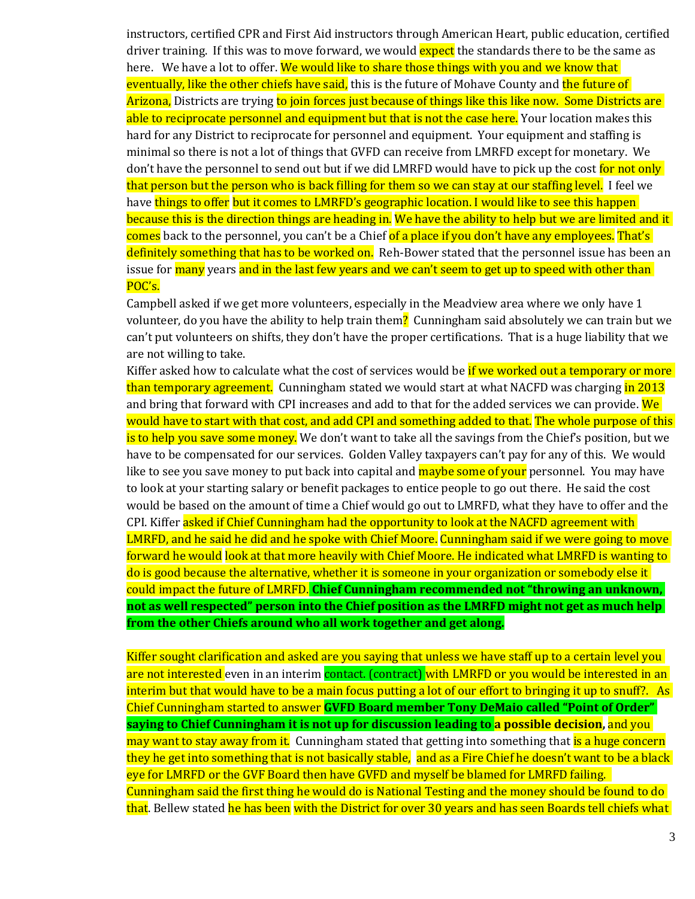instructors, certified CPR and First Aid instructors through American Heart, public education, certified driver training. If this was to move forward, we would expect the standards there to be the same as here. We have a lot to offer. We would like to share those things with you and we know that eventually, like the other chiefs have said, this is the future of Mohave County and the future of Arizona, Districts are trying to join forces just because of things like this like now. Some Districts are able to reciprocate personnel and equipment but that is not the case here. Your location makes this hard for any District to reciprocate for personnel and equipment. Your equipment and staffing is minimal so there is not a lot of things that GVFD can receive from LMRFD except for monetary. We don't have the personnel to send out but if we did LMRFD would have to pick up the cost for not only that person but the person who is back filling for them so we can stay at our staffing level. I feel we have things to offer but it comes to LMRFD's geographic location. I would like to see this happen because this is the direction things are heading in. We have the ability to help but we are limited and it comes back to the personnel, you can't be a Chief of a place if you don't have any employees. That's definitely something that has to be worked on. Reh-Bower stated that the personnel issue has been an issue for many years and in the last few years and we can't seem to get up to speed with other than POC's.

Campbell asked if we get more volunteers, especially in the Meadview area where we only have 1 volunteer, do you have the ability to help train them? Cunningham said absolutely we can train but we can't put volunteers on shifts, they don't have the proper certifications. That is a huge liability that we are not willing to take.

Kiffer asked how to calculate what the cost of services would be if we worked out a temporary or more than temporary agreement. Cunningham stated we would start at what NACFD was charging in 2013 and bring that forward with CPI increases and add to that for the added services we can provide. We would have to start with that cost, and add CPI and something added to that. The whole purpose of this is to help you save some money. We don't want to take all the savings from the Chief's position, but we have to be compensated for our services. Golden Valley taxpayers can't pay for any of this. We would like to see you save money to put back into capital and **maybe some of your** personnel. You may have to look at your starting salary or benefit packages to entice people to go out there. He said the cost would be based on the amount of time a Chief would go out to LMRFD, what they have to offer and the CPI. Kiffer asked if Chief Cunningham had the opportunity to look at the NACFD agreement with LMRFD, and he said he did and he spoke with Chief Moore. Cunningham said if we were going to move forward he would look at that more heavily with Chief Moore. He indicated what LMRFD is wanting to do is good because the alternative, whether it is someone in your organization or somebody else it could impact the future of LMRFD. **Chief Cunningham recommended not "throwing an unknown, not as well respected" person into the Chief position as the LMRFD might not get as much help from the other Chiefs around who all work together and get along.**

Kiffer sought clarification and asked are you saying that unless we have staff up to a certain level you are not interested even in an interim contact. (contract) with LMRFD or you would be interested in an interim but that would have to be a main focus putting a lot of our effort to bringing it up to snuff?. As Chief Cunningham started to answer **GVFD Board member Tony DeMaio called "Point of Order" saying to Chief Cunningham it is not up for discussion leading to a possible decision,** and you may want to stay away from it.Cunningham stated that getting into something that is a huge concern they he get into something that is not basically stable, and as a Fire Chief he doesn't want to be a black eye for LMRFD or the GVF Board then have GVFD and myself be blamed for LMRFD failing. Cunningham said the first thing he would do is National Testing and the money should be found to do that. Bellew stated he has been with the District for over 30 years and has seen Boards tell chiefs what